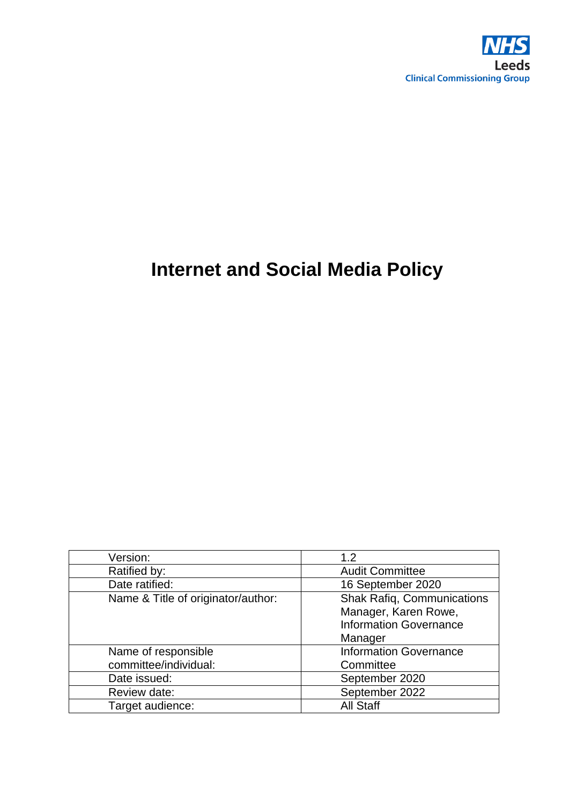

# **Internet and Social Media Policy**

| Version:                           | 1.2                               |
|------------------------------------|-----------------------------------|
| Ratified by:                       | <b>Audit Committee</b>            |
| Date ratified:                     | 16 September 2020                 |
| Name & Title of originator/author: | <b>Shak Rafiq, Communications</b> |
|                                    | Manager, Karen Rowe,              |
|                                    | <b>Information Governance</b>     |
|                                    | Manager                           |
| Name of responsible                | <b>Information Governance</b>     |
| committee/individual:              | Committee                         |
| Date issued:                       | September 2020                    |
| Review date:                       | September 2022                    |
| Target audience:                   | <b>All Staff</b>                  |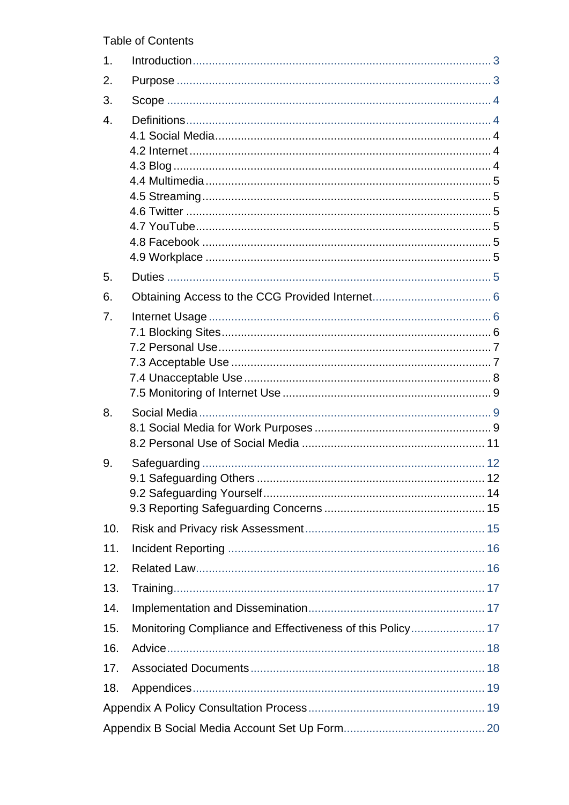**Table of Contents** 

| 1.               |  |
|------------------|--|
| 2.               |  |
| 3.               |  |
| $\overline{4}$ . |  |
|                  |  |
|                  |  |
|                  |  |
|                  |  |
|                  |  |
|                  |  |
|                  |  |
|                  |  |
| 5.               |  |
| 6.               |  |
| 7.               |  |
|                  |  |
|                  |  |
|                  |  |
|                  |  |
|                  |  |
| 8.               |  |
|                  |  |
|                  |  |
| 9.               |  |
|                  |  |
|                  |  |
|                  |  |
| 10.              |  |
| 11.              |  |
| 12.              |  |
| 13.              |  |
| 14.              |  |
| 15.              |  |
| 16.              |  |
| 17.              |  |
| 18.              |  |
|                  |  |
|                  |  |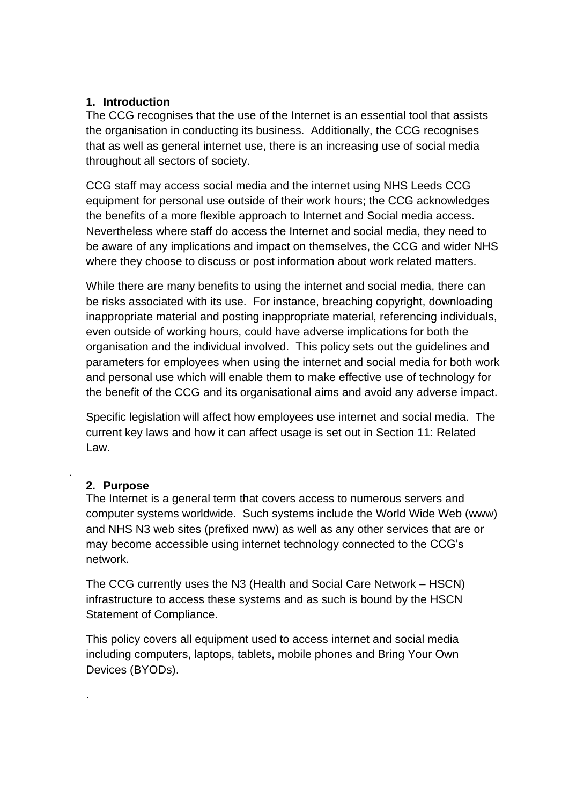#### <span id="page-2-0"></span>**1. Introduction**

The CCG recognises that the use of the Internet is an essential tool that assists the organisation in conducting its business. Additionally, the CCG recognises that as well as general internet use, there is an increasing use of social media throughout all sectors of society.

CCG staff may access social media and the internet using NHS Leeds CCG equipment for personal use outside of their work hours; the CCG acknowledges the benefits of a more flexible approach to Internet and Social media access. Nevertheless where staff do access the Internet and social media, they need to be aware of any implications and impact on themselves, the CCG and wider NHS where they choose to discuss or post information about work related matters.

While there are many benefits to using the internet and social media, there can be risks associated with its use. For instance, breaching copyright, downloading inappropriate material and posting inappropriate material, referencing individuals, even outside of working hours, could have adverse implications for both the organisation and the individual involved. This policy sets out the guidelines and parameters for employees when using the internet and social media for both work and personal use which will enable them to make effective use of technology for the benefit of the CCG and its organisational aims and avoid any adverse impact.

Specific legislation will affect how employees use internet and social media. The current key laws and how it can affect usage is set out in Section 11: Related Law.

#### **2. Purpose**

<span id="page-2-1"></span>.

.

The Internet is a general term that covers access to numerous servers and computer systems worldwide. Such systems include the World Wide Web (www) and NHS N3 web sites (prefixed nww) as well as any other services that are or may become accessible using internet technology connected to the CCG's network.

The CCG currently uses the N3 (Health and Social Care Network – HSCN) infrastructure to access these systems and as such is bound by the HSCN Statement of Compliance.

This policy covers all equipment used to access internet and social media including computers, laptops, tablets, mobile phones and Bring Your Own Devices (BYODs).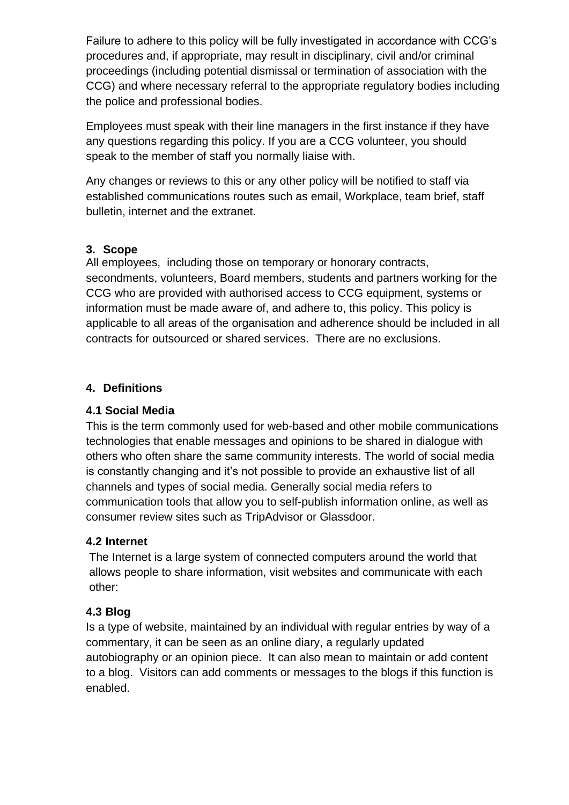Failure to adhere to this policy will be fully investigated in accordance with CCG's procedures and, if appropriate, may result in disciplinary, civil and/or criminal proceedings (including potential dismissal or termination of association with the CCG) and where necessary referral to the appropriate regulatory bodies including the police and professional bodies.

Employees must speak with their line managers in the first instance if they have any questions regarding this policy. If you are a CCG volunteer, you should speak to the member of staff you normally liaise with.

Any changes or reviews to this or any other policy will be notified to staff via established communications routes such as email, Workplace, team brief, staff bulletin, internet and the extranet.

#### <span id="page-3-0"></span>**3. Scope**

All employees, including those on temporary or honorary contracts, secondments, volunteers, Board members, students and partners working for the CCG who are provided with authorised access to CCG equipment, systems or information must be made aware of, and adhere to, this policy. This policy is applicable to all areas of the organisation and adherence should be included in all contracts for outsourced or shared services. There are no exclusions.

#### <span id="page-3-1"></span>**4. Definitions**

#### <span id="page-3-2"></span>**4.1 Social Media**

This is the term commonly used for web-based and other mobile communications technologies that enable messages and opinions to be shared in dialogue with others who often share the same community interests. The world of social media is constantly changing and it's not possible to provide an exhaustive list of all channels and types of social media. Generally social media refers to communication tools that allow you to self-publish information online, as well as consumer review sites such as TripAdvisor or Glassdoor.

#### <span id="page-3-3"></span>**4.2 Internet**

The Internet is a [large](https://dictionary.cambridge.org/dictionary/english/large) [system](https://dictionary.cambridge.org/dictionary/english/system) of [connected](https://dictionary.cambridge.org/dictionary/english/connected) [computers](https://dictionary.cambridge.org/dictionary/english/computer) around the [world](https://dictionary.cambridge.org/dictionary/english/world) that [allows](https://dictionary.cambridge.org/dictionary/english/allow) [people](https://dictionary.cambridge.org/dictionary/english/people) to [share](https://dictionary.cambridge.org/dictionary/english/share) [information,](https://dictionary.cambridge.org/dictionary/english/information) visit websites and [communicate](https://dictionary.cambridge.org/dictionary/english/communicate) with each other:

# <span id="page-3-4"></span>**4.3 Blog**

Is a type of website, maintained by an individual with regular entries by way of a commentary, it can be seen as an online diary, a regularly updated autobiography or an opinion piece. It can also mean to maintain or add content to a blog. Visitors can add comments or messages to the blogs if this function is enabled.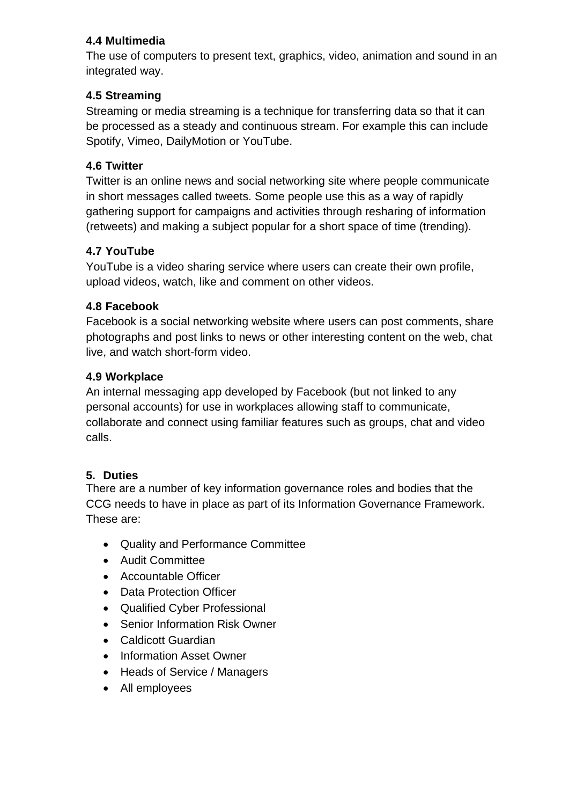# <span id="page-4-0"></span>**4.4 Multimedia**

The use of computers to present text, graphics, video, animation and sound in an integrated way.

# <span id="page-4-1"></span>**4.5 Streaming**

Streaming or media streaming is a technique for transferring data so that it can be processed as a steady and continuous stream. For example this can include Spotify, Vimeo, DailyMotion or YouTube.

# <span id="page-4-2"></span>**4.6 Twitter**

Twitter is an online news and social networking site where people communicate in short messages called tweets. Some people use this as a way of rapidly gathering support for campaigns and activities through resharing of information (retweets) and making a subject popular for a short space of time (trending).

# <span id="page-4-3"></span>**4.7 YouTube**

YouTube is a video sharing service where users can create their own profile, upload videos, watch, like and comment on other videos.

# <span id="page-4-4"></span>**4.8 Facebook**

Facebook is a social networking website where users can post comments, share photographs and post links to news or other interesting content on the web, chat live, and watch short-form video.

# <span id="page-4-5"></span>**4.9 Workplace**

An internal messaging app developed by Facebook (but not linked to any personal accounts) for use in workplaces allowing staff to communicate, collaborate and connect using familiar features such as groups, chat and video calls.

# <span id="page-4-6"></span>**5. Duties**

There are a number of key information governance roles and bodies that the CCG needs to have in place as part of its Information Governance Framework. These are:

- Quality and Performance Committee
- Audit Committee
- Accountable Officer
- Data Protection Officer
- Qualified Cyber Professional
- Senior Information Risk Owner
- Caldicott Guardian
- Information Asset Owner
- Heads of Service / Managers
- All employees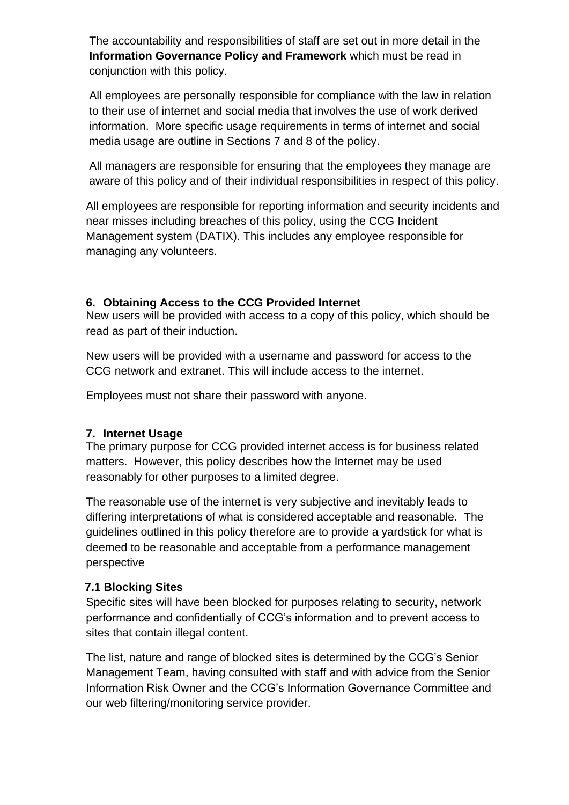The accountability and responsibilities of staff are set out in more detail in the **Information Governance Policy and Framework** which must be read in conjunction with this policy.

All employees are personally responsible for compliance with the law in relation to their use of internet and social media that involves the use of work derived information. More specific usage requirements in terms of internet and social media usage are outline in Sections 7 and 8 of the policy.

All managers are responsible for ensuring that the employees they manage are aware of this policy and of their individual responsibilities in respect of this policy.

All employees are responsible for reporting information and security incidents and near misses including breaches of this policy, using the CCG Incident Management system (DATIX). This includes any employee responsible for managing any volunteers.

#### <span id="page-5-0"></span>**6. Obtaining Access to the CCG Provided Internet**

New users will be provided with access to a copy of this policy, which should be read as part of their induction.

New users will be provided with a username and password for access to the CCG network and extranet. This will include access to the internet.

Employees must not share their password with anyone.

#### <span id="page-5-1"></span>**7. Internet Usage**

The primary purpose for CCG provided internet access is for business related matters. However, this policy describes how the Internet may be used reasonably for other purposes to a limited degree.

The reasonable use of the internet is very subjective and inevitably leads to differing interpretations of what is considered acceptable and reasonable. The guidelines outlined in this policy therefore are to provide a yardstick for what is deemed to be reasonable and acceptable from a performance management perspective

#### <span id="page-5-2"></span> **7.1 Blocking Sites**

Specific sites will have been blocked for purposes relating to security, network performance and confidentially of CCG's information and to prevent access to sites that contain illegal content.

The list, nature and range of blocked sites is determined by the CCG's Senior Management Team, having consulted with staff and with advice from the Senior Information Risk Owner and the CCG's Information Governance Committee and our web filtering/monitoring service provider.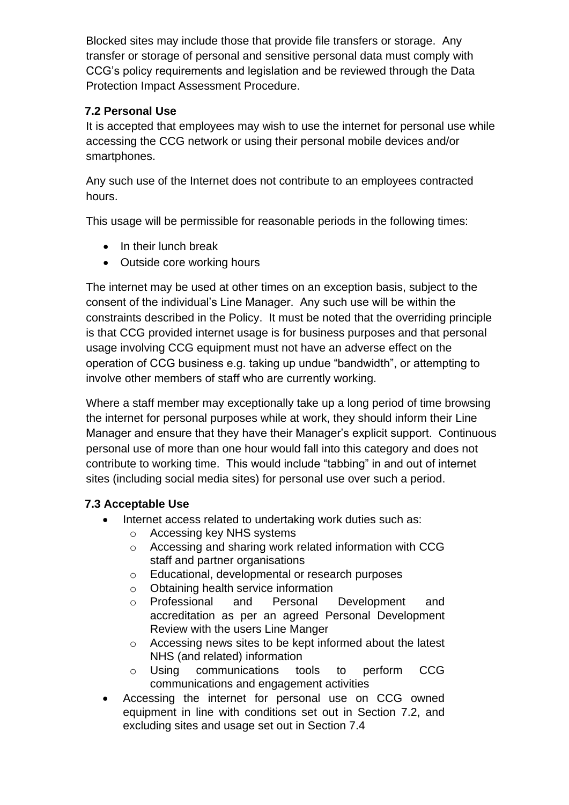Blocked sites may include those that provide file transfers or storage. Any transfer or storage of personal and sensitive personal data must comply with CCG's policy requirements and legislation and be reviewed through the Data Protection Impact Assessment Procedure.

# <span id="page-6-0"></span> **7.2 Personal Use**

It is accepted that employees may wish to use the internet for personal use while accessing the CCG network or using their personal mobile devices and/or smartphones.

Any such use of the Internet does not contribute to an employees contracted hours.

This usage will be permissible for reasonable periods in the following times:

- In their lunch break
- Outside core working hours

The internet may be used at other times on an exception basis, subject to the consent of the individual's Line Manager. Any such use will be within the constraints described in the Policy. It must be noted that the overriding principle is that CCG provided internet usage is for business purposes and that personal usage involving CCG equipment must not have an adverse effect on the operation of CCG business e.g. taking up undue "bandwidth", or attempting to involve other members of staff who are currently working.

Where a staff member may exceptionally take up a long period of time browsing the internet for personal purposes while at work, they should inform their Line Manager and ensure that they have their Manager's explicit support. Continuous personal use of more than one hour would fall into this category and does not contribute to working time. This would include "tabbing" in and out of internet sites (including social media sites) for personal use over such a period.

#### <span id="page-6-1"></span> **7.3 Acceptable Use**

- Internet access related to undertaking work duties such as:
	- o Accessing key NHS systems
	- o Accessing and sharing work related information with CCG staff and partner organisations
	- o Educational, developmental or research purposes
	- o Obtaining health service information
	- o Professional and Personal Development and accreditation as per an agreed Personal Development Review with the users Line Manger
	- o Accessing news sites to be kept informed about the latest NHS (and related) information
	- o Using communications tools to perform CCG communications and engagement activities
- Accessing the internet for personal use on CCG owned equipment in line with conditions set out in Section 7.2, and excluding sites and usage set out in Section 7.4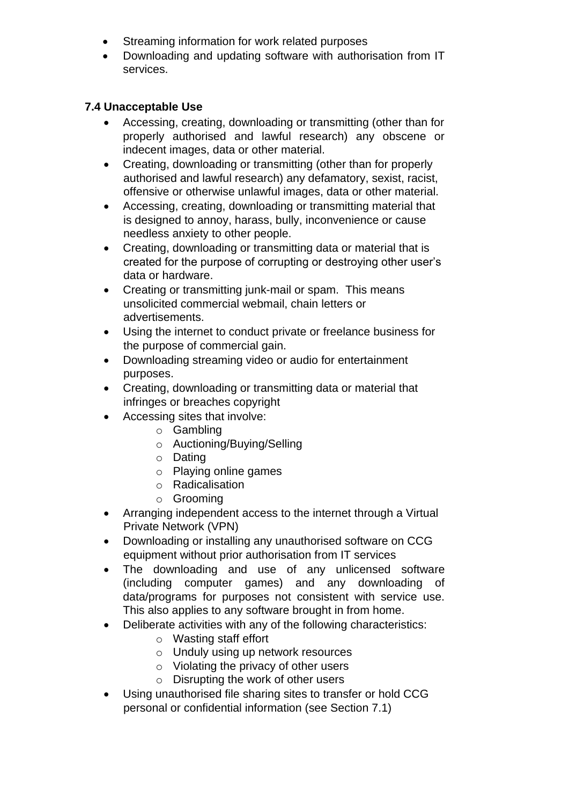- Streaming information for work related purposes
- Downloading and updating software with authorisation from IT services.

#### <span id="page-7-0"></span> **7.4 Unacceptable Use**

- Accessing, creating, downloading or transmitting (other than for properly authorised and lawful research) any obscene or indecent images, data or other material.
- Creating, downloading or transmitting (other than for properly authorised and lawful research) any defamatory, sexist, racist, offensive or otherwise unlawful images, data or other material.
- Accessing, creating, downloading or transmitting material that is designed to annoy, harass, bully, inconvenience or cause needless anxiety to other people.
- Creating, downloading or transmitting data or material that is created for the purpose of corrupting or destroying other user's data or hardware.
- Creating or transmitting junk-mail or spam. This means unsolicited commercial webmail, chain letters or advertisements.
- Using the internet to conduct private or freelance business for the purpose of commercial gain.
- Downloading streaming video or audio for entertainment purposes.
- Creating, downloading or transmitting data or material that infringes or breaches copyright
- Accessing sites that involve:
	- o Gambling
	- o Auctioning/Buying/Selling
	- o Dating
	- o Playing online games
	- o Radicalisation
	- o Grooming
- Arranging independent access to the internet through a Virtual Private Network (VPN)
- Downloading or installing any unauthorised software on CCG equipment without prior authorisation from IT services
- The downloading and use of any unlicensed software (including computer games) and any downloading of data/programs for purposes not consistent with service use. This also applies to any software brought in from home.
- Deliberate activities with any of the following characteristics:
	- o Wasting staff effort
	- o Unduly using up network resources
	- o Violating the privacy of other users
	- o Disrupting the work of other users
- Using unauthorised file sharing sites to transfer or hold CCG personal or confidential information (see Section 7.1)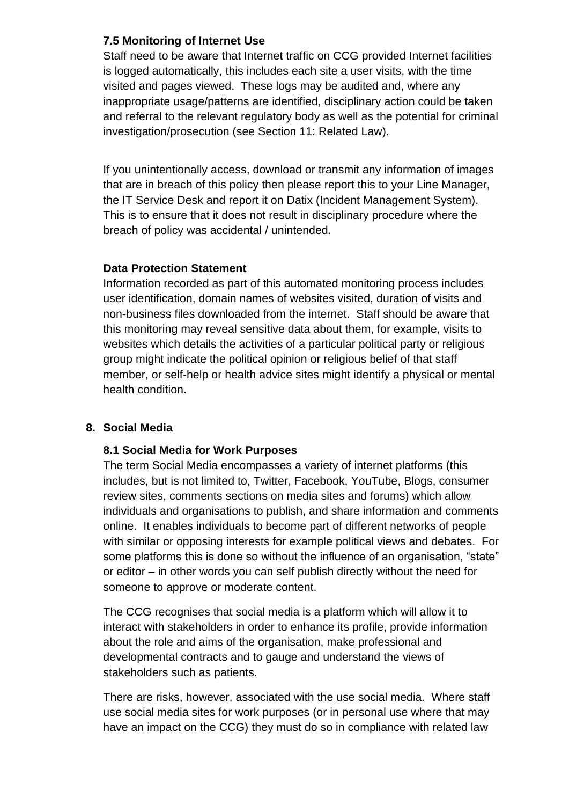#### <span id="page-8-0"></span>**7.5 Monitoring of Internet Use**

Staff need to be aware that Internet traffic on CCG provided Internet facilities is logged automatically, this includes each site a user visits, with the time visited and pages viewed. These logs may be audited and, where any inappropriate usage/patterns are identified, disciplinary action could be taken and referral to the relevant regulatory body as well as the potential for criminal investigation/prosecution (see Section 11: Related Law).

If you unintentionally access, download or transmit any information of images that are in breach of this policy then please report this to your Line Manager, the IT Service Desk and report it on Datix (Incident Management System). This is to ensure that it does not result in disciplinary procedure where the breach of policy was accidental / unintended.

#### **Data Protection Statement**

Information recorded as part of this automated monitoring process includes user identification, domain names of websites visited, duration of visits and non-business files downloaded from the internet. Staff should be aware that this monitoring may reveal sensitive data about them, for example, visits to websites which details the activities of a particular political party or religious group might indicate the political opinion or religious belief of that staff member, or self-help or health advice sites might identify a physical or mental health condition.

#### <span id="page-8-2"></span><span id="page-8-1"></span>**8. Social Media**

#### **8.1 Social Media for Work Purposes**

The term Social Media encompasses a variety of internet platforms (this includes, but is not limited to, Twitter, Facebook, YouTube, Blogs, consumer review sites, comments sections on media sites and forums) which allow individuals and organisations to publish, and share information and comments online. It enables individuals to become part of different networks of people with similar or opposing interests for example political views and debates. For some platforms this is done so without the influence of an organisation, "state" or editor – in other words you can self publish directly without the need for someone to approve or moderate content.

The CCG recognises that social media is a platform which will allow it to interact with stakeholders in order to enhance its profile, provide information about the role and aims of the organisation, make professional and developmental contracts and to gauge and understand the views of stakeholders such as patients.

There are risks, however, associated with the use social media. Where staff use social media sites for work purposes (or in personal use where that may have an impact on the CCG) they must do so in compliance with related law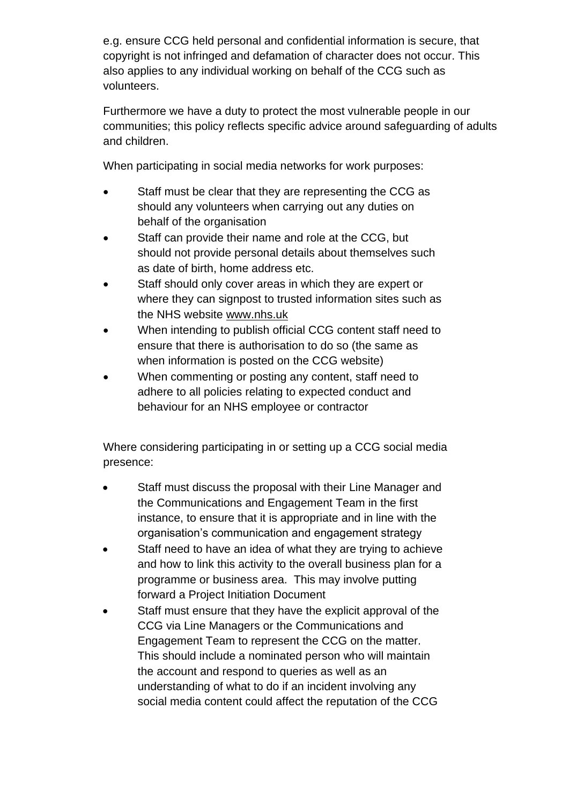e.g. ensure CCG held personal and confidential information is secure, that copyright is not infringed and defamation of character does not occur. This also applies to any individual working on behalf of the CCG such as volunteers.

Furthermore we have a duty to protect the most vulnerable people in our communities; this policy reflects specific advice around safeguarding of adults and children.

When participating in social media networks for work purposes:

- Staff must be clear that they are representing the CCG as should any volunteers when carrying out any duties on behalf of the organisation
- Staff can provide their name and role at the CCG, but should not provide personal details about themselves such as date of birth, home address etc.
- Staff should only cover areas in which they are expert or where they can signpost to trusted information sites such as the NHS website [www.nhs.uk](http://www.nhs.uk/)
- When intending to publish official CCG content staff need to ensure that there is authorisation to do so (the same as when information is posted on the CCG website)
- When commenting or posting any content, staff need to adhere to all policies relating to expected conduct and behaviour for an NHS employee or contractor

Where considering participating in or setting up a CCG social media presence:

- Staff must discuss the proposal with their Line Manager and the Communications and Engagement Team in the first instance, to ensure that it is appropriate and in line with the organisation's communication and engagement strategy
- Staff need to have an idea of what they are trying to achieve and how to link this activity to the overall business plan for a programme or business area. This may involve putting forward a Project Initiation Document
- Staff must ensure that they have the explicit approval of the CCG via Line Managers or the Communications and Engagement Team to represent the CCG on the matter. This should include a nominated person who will maintain the account and respond to queries as well as an understanding of what to do if an incident involving any social media content could affect the reputation of the CCG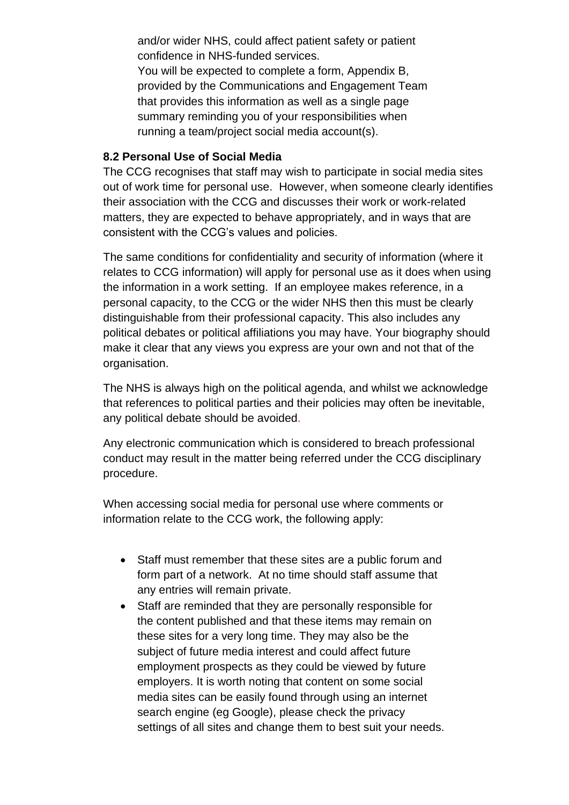and/or wider NHS, could affect patient safety or patient confidence in NHS-funded services.

You will be expected to complete a form, Appendix B, provided by the Communications and Engagement Team that provides this information as well as a single page summary reminding you of your responsibilities when running a team/project social media account(s).

#### <span id="page-10-0"></span>**8.2 Personal Use of Social Media**

The CCG recognises that staff may wish to participate in social media sites out of work time for personal use. However, when someone clearly identifies their association with the CCG and discusses their work or work-related matters, they are expected to behave appropriately, and in ways that are consistent with the CCG's values and policies.

The same conditions for confidentiality and security of information (where it relates to CCG information) will apply for personal use as it does when using the information in a work setting. If an employee makes reference, in a personal capacity, to the CCG or the wider NHS then this must be clearly distinguishable from their professional capacity. This also includes any political debates or political affiliations you may have. Your biography should make it clear that any views you express are your own and not that of the organisation.

The NHS is always high on the political agenda, and whilst we acknowledge that references to political parties and their policies may often be inevitable, any political debate should be avoided.

Any electronic communication which is considered to breach professional conduct may result in the matter being referred under the CCG disciplinary procedure.

When accessing social media for personal use where comments or information relate to the CCG work, the following apply:

- Staff must remember that these sites are a public forum and form part of a network. At no time should staff assume that any entries will remain private.
- Staff are reminded that they are personally responsible for the content published and that these items may remain on these sites for a very long time. They may also be the subject of future media interest and could affect future employment prospects as they could be viewed by future employers. It is worth noting that content on some social media sites can be easily found through using an internet search engine (eg Google), please check the privacy settings of all sites and change them to best suit your needs.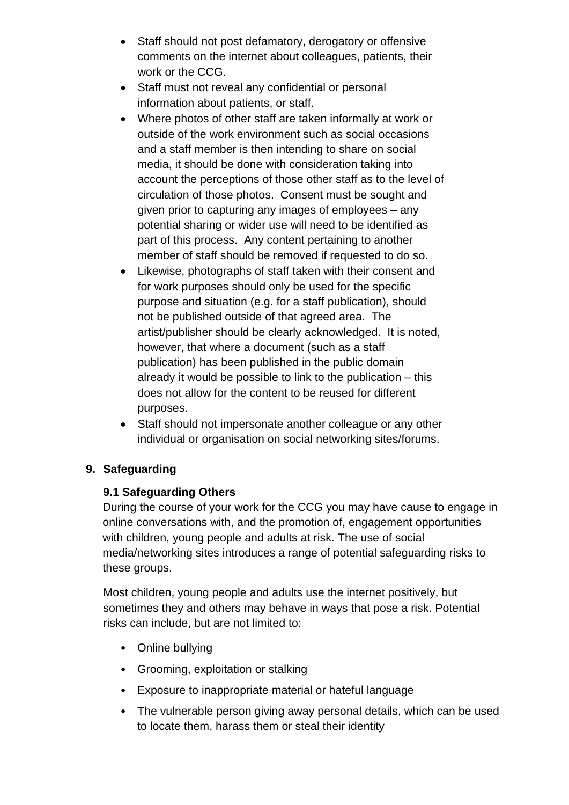- Staff should not post defamatory, derogatory or offensive comments on the internet about colleagues, patients, their work or the CCG.
- Staff must not reveal any confidential or personal information about patients, or staff.
- Where photos of other staff are taken informally at work or outside of the work environment such as social occasions and a staff member is then intending to share on social media, it should be done with consideration taking into account the perceptions of those other staff as to the level of circulation of those photos. Consent must be sought and given prior to capturing any images of employees – any potential sharing or wider use will need to be identified as part of this process. Any content pertaining to another member of staff should be removed if requested to do so.
- Likewise, photographs of staff taken with their consent and for work purposes should only be used for the specific purpose and situation (e.g. for a staff publication), should not be published outside of that agreed area. The artist/publisher should be clearly acknowledged. It is noted, however, that where a document (such as a staff publication) has been published in the public domain already it would be possible to link to the publication – this does not allow for the content to be reused for different purposes.
- Staff should not impersonate another colleague or any other individual or organisation on social networking sites/forums.

#### <span id="page-11-1"></span><span id="page-11-0"></span>**9. Safeguarding**

#### **9.1 Safeguarding Others**

During the course of your work for the CCG you may have cause to engage in online conversations with, and the promotion of, engagement opportunities with children, young people and adults at risk. The use of social media/networking sites introduces a range of potential safeguarding risks to these groups.

Most children, young people and adults use the internet positively, but sometimes they and others may behave in ways that pose a risk. Potential risks can include, but are not limited to:

- Online bullying
- Grooming, exploitation or stalking
- Exposure to inappropriate material or hateful language
- The vulnerable person giving away personal details, which can be used to locate them, harass them or steal their identity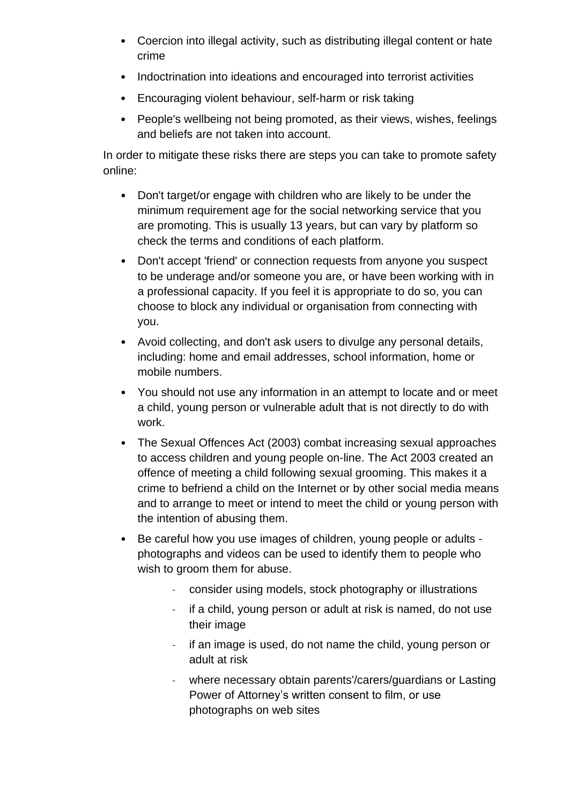- Coercion into illegal activity, such as distributing illegal content or hate crime
- Indoctrination into ideations and encouraged into terrorist activities
- Encouraging violent behaviour, self-harm or risk taking
- People's wellbeing not being promoted, as their views, wishes, feelings and beliefs are not taken into account.

In order to mitigate these risks there are steps you can take to promote safety online:

- Don't target/or engage with children who are likely to be under the minimum requirement age for the social networking service that you are promoting. This is usually 13 years, but can vary by platform so check the terms and conditions of each platform.
- Don't accept 'friend' or connection requests from anyone you suspect to be underage and/or someone you are, or have been working with in a professional capacity. If you feel it is appropriate to do so, you can choose to block any individual or organisation from connecting with you.
- Avoid collecting, and don't ask users to divulge any personal details, including: home and email addresses, school information, home or mobile numbers.
- You should not use any information in an attempt to locate and or meet a child, young person or vulnerable adult that is not directly to do with work.
- The Sexual Offences Act (2003) combat increasing sexual approaches to access children and young people on-line. The Act 2003 created an offence of meeting a child following sexual grooming. This makes it a crime to befriend a child on the Internet or by other social media means and to arrange to meet or intend to meet the child or young person with the intention of abusing them.
- Be careful how you use images of children, young people or adults photographs and videos can be used to identify them to people who wish to groom them for abuse.
	- consider using models, stock photography or illustrations
	- if a child, young person or adult at risk is named, do not use their image
	- if an image is used, do not name the child, young person or adult at risk
	- where necessary obtain parents'/carers/guardians or Lasting Power of Attorney's written consent to film, or use photographs on web sites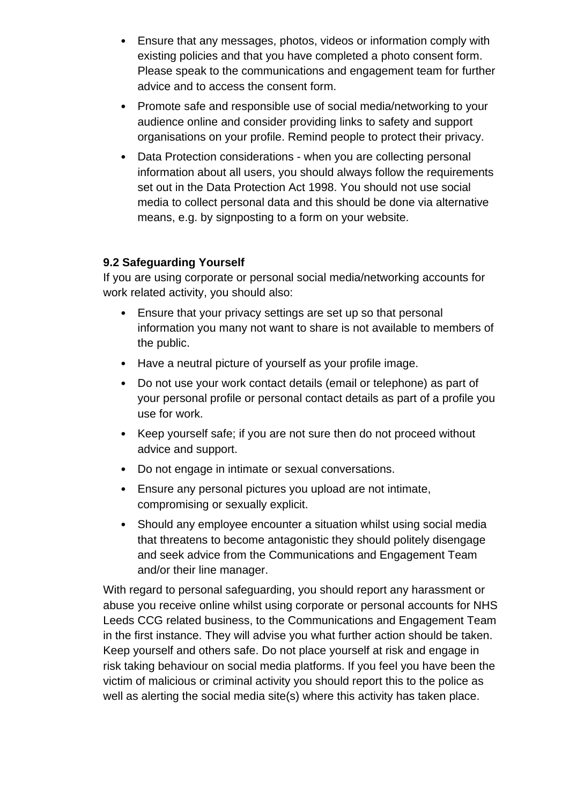- Ensure that any messages, photos, videos or information comply with existing policies and that you have completed a photo consent form. Please speak to the communications and engagement team for further advice and to access the consent form.
- Promote safe and responsible use of social media/networking to your audience online and consider providing links to safety and support organisations on your profile. Remind people to protect their privacy.
- Data Protection considerations when you are collecting personal information about all users, you should always follow the requirements set out in the Data Protection Act 1998. You should not use social media to collect personal data and this should be done via alternative means, e.g. by signposting to a form on your website.

#### <span id="page-13-0"></span>**9.2 Safeguarding Yourself**

If you are using corporate or personal social media/networking accounts for work related activity, you should also:

- Ensure that your privacy settings are set up so that personal information you many not want to share is not available to members of the public.
- Have a neutral picture of yourself as your profile image.
- Do not use your work contact details (email or telephone) as part of your personal profile or personal contact details as part of a profile you use for work.
- Keep yourself safe; if you are not sure then do not proceed without advice and support.
- Do not engage in intimate or sexual conversations.
- Ensure any personal pictures you upload are not intimate, compromising or sexually explicit.
- Should any employee encounter a situation whilst using social media that threatens to become antagonistic they should politely disengage and seek advice from the Communications and Engagement Team and/or their line manager.

With regard to personal safeguarding, you should report any harassment or abuse you receive online whilst using corporate or personal accounts for NHS Leeds CCG related business, to the Communications and Engagement Team in the first instance. They will advise you what further action should be taken. Keep yourself and others safe. Do not place yourself at risk and engage in risk taking behaviour on social media platforms. If you feel you have been the victim of malicious or criminal activity you should report this to the police as well as alerting the social media site(s) where this activity has taken place.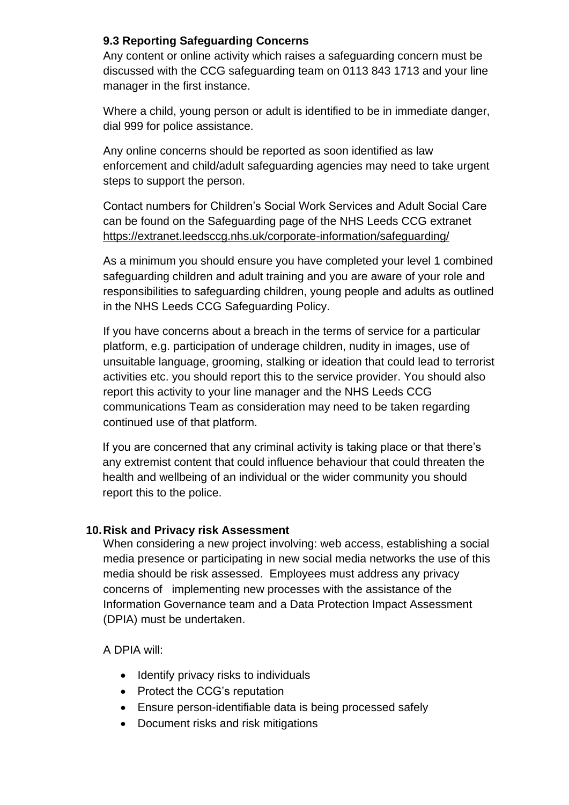#### <span id="page-14-0"></span>**9.3 Reporting Safeguarding Concerns**

Any content or online activity which raises a safeguarding concern must be discussed with the CCG safeguarding team on 0113 843 1713 and your line manager in the first instance.

Where a child, young person or adult is identified to be in immediate danger, dial 999 for police assistance.

Any online concerns should be reported as soon identified as law enforcement and child/adult safeguarding agencies may need to take urgent steps to support the person.

Contact numbers for Children's Social Work Services and Adult Social Care can be found on the Safeguarding page of the NHS Leeds CCG extranet <https://extranet.leedsccg.nhs.uk/corporate-information/safeguarding/>

As a minimum you should ensure you have completed your level 1 combined safeguarding children and adult training and you are aware of your role and responsibilities to safeguarding children, young people and adults as outlined in the NHS Leeds CCG Safeguarding Policy.

If you have concerns about a breach in the terms of service for a particular platform, e.g. participation of underage children, nudity in images, use of unsuitable language, grooming, stalking or ideation that could lead to terrorist activities etc. you should report this to the service provider. You should also report this activity to your line manager and the NHS Leeds CCG communications Team as consideration may need to be taken regarding continued use of that platform.

If you are concerned that any criminal activity is taking place or that there's any extremist content that could influence behaviour that could threaten the health and wellbeing of an individual or the wider community you should report this to the police.

#### <span id="page-14-1"></span>**10.Risk and Privacy risk Assessment**

When considering a new project involving: web access, establishing a social media presence or participating in new social media networks the use of this media should be risk assessed. Employees must address any privacy concerns of implementing new processes with the assistance of the Information Governance team and a Data Protection Impact Assessment (DPIA) must be undertaken.

# A DPIA will:

- Identify privacy risks to individuals
- Protect the CCG's reputation
- Ensure person-identifiable data is being processed safely
- Document risks and risk mitigations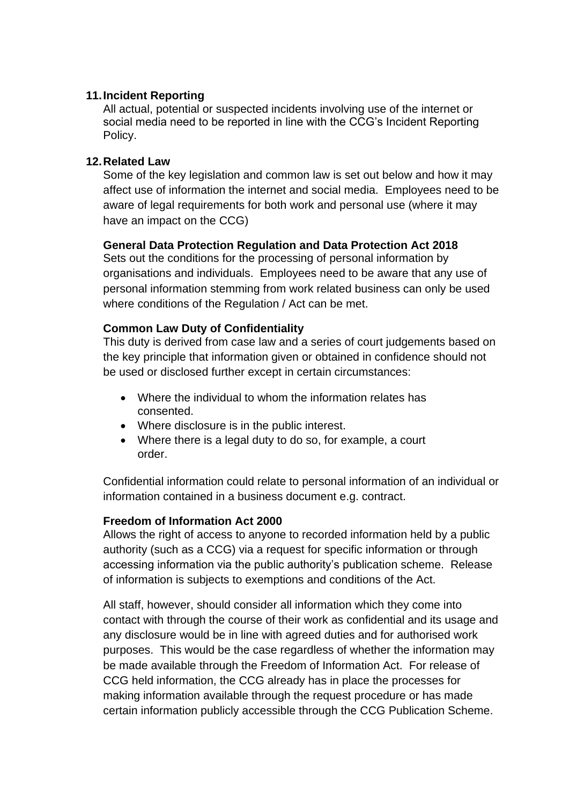#### <span id="page-15-0"></span>**11.Incident Reporting**

All actual, potential or suspected incidents involving use of the internet or social media need to be reported in line with the CCG's Incident Reporting Policy.

#### <span id="page-15-1"></span>**12.Related Law**

Some of the key legislation and common law is set out below and how it may affect use of information the internet and social media. Employees need to be aware of legal requirements for both work and personal use (where it may have an impact on the CCG)

#### **General Data Protection Regulation and Data Protection Act 2018**

Sets out the conditions for the processing of personal information by organisations and individuals. Employees need to be aware that any use of personal information stemming from work related business can only be used where conditions of the Regulation / Act can be met.

#### **Common Law Duty of Confidentiality**

This duty is derived from case law and a series of court judgements based on the key principle that information given or obtained in confidence should not be used or disclosed further except in certain circumstances:

- Where the individual to whom the information relates has consented.
- Where disclosure is in the public interest.
- Where there is a legal duty to do so, for example, a court order.

Confidential information could relate to personal information of an individual or information contained in a business document e.g. contract.

#### **Freedom of Information Act 2000**

Allows the right of access to anyone to recorded information held by a public authority (such as a CCG) via a request for specific information or through accessing information via the public authority's publication scheme. Release of information is subjects to exemptions and conditions of the Act.

All staff, however, should consider all information which they come into contact with through the course of their work as confidential and its usage and any disclosure would be in line with agreed duties and for authorised work purposes. This would be the case regardless of whether the information may be made available through the Freedom of Information Act. For release of CCG held information, the CCG already has in place the processes for making information available through the request procedure or has made certain information publicly accessible through the CCG Publication Scheme.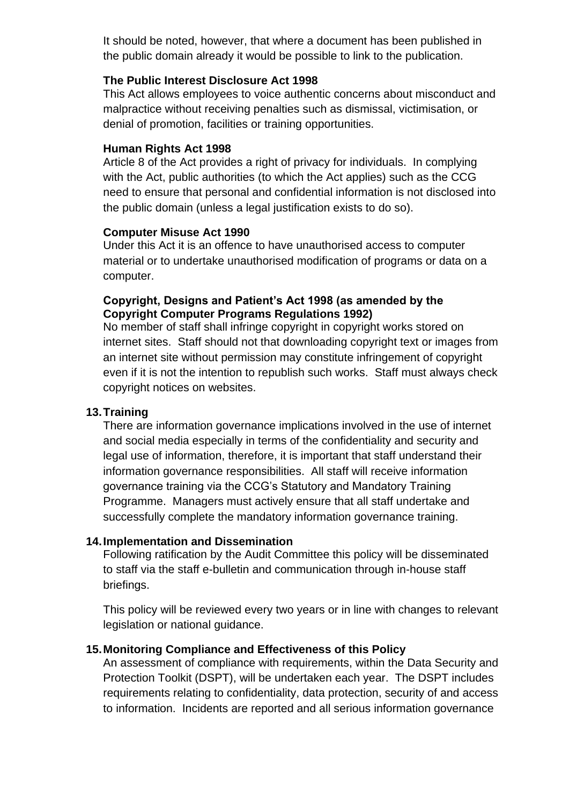It should be noted, however, that where a document has been published in the public domain already it would be possible to link to the publication.

#### **The Public Interest Disclosure Act 1998**

This Act allows employees to voice authentic concerns about misconduct and malpractice without receiving penalties such as dismissal, victimisation, or denial of promotion, facilities or training opportunities.

#### **Human Rights Act 1998**

Article 8 of the Act provides a right of privacy for individuals. In complying with the Act, public authorities (to which the Act applies) such as the CCG need to ensure that personal and confidential information is not disclosed into the public domain (unless a legal justification exists to do so).

#### **Computer Misuse Act 1990**

Under this Act it is an offence to have unauthorised access to computer material or to undertake unauthorised modification of programs or data on a computer.

#### **Copyright, Designs and Patient's Act 1998 (as amended by the Copyright Computer Programs Regulations 1992)**

No member of staff shall infringe copyright in copyright works stored on internet sites. Staff should not that downloading copyright text or images from an internet site without permission may constitute infringement of copyright even if it is not the intention to republish such works. Staff must always check copyright notices on websites.

#### <span id="page-16-0"></span>**13.Training**

There are information governance implications involved in the use of internet and social media especially in terms of the confidentiality and security and legal use of information, therefore, it is important that staff understand their information governance responsibilities. All staff will receive information governance training via the CCG's Statutory and Mandatory Training Programme. Managers must actively ensure that all staff undertake and successfully complete the mandatory information governance training.

#### <span id="page-16-1"></span>**14.Implementation and Dissemination**

Following ratification by the Audit Committee this policy will be disseminated to staff via the staff e-bulletin and communication through in-house staff briefings.

This policy will be reviewed every two years or in line with changes to relevant legislation or national guidance.

# <span id="page-16-2"></span>**15.Monitoring Compliance and Effectiveness of this Policy**

An assessment of compliance with requirements, within the Data Security and Protection Toolkit (DSPT), will be undertaken each year. The DSPT includes requirements relating to confidentiality, data protection, security of and access to information. Incidents are reported and all serious information governance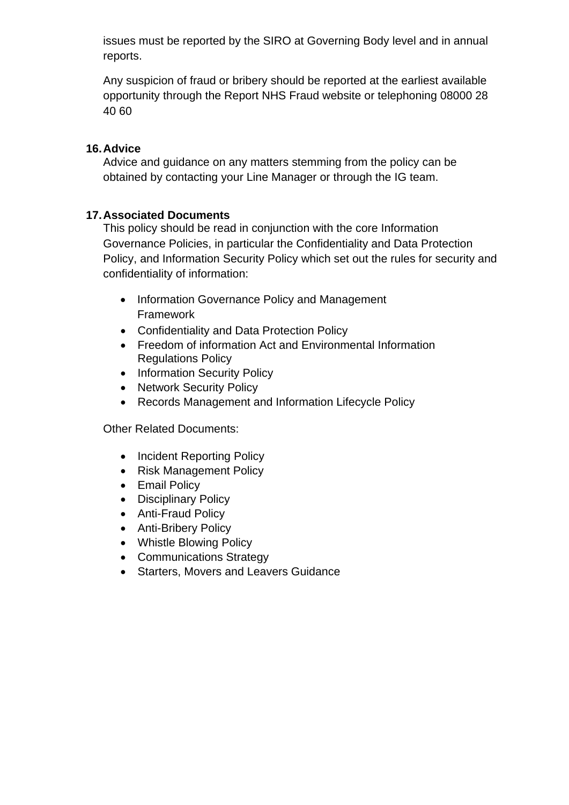issues must be reported by the SIRO at Governing Body level and in annual reports.

Any suspicion of fraud or bribery should be reported at the earliest available opportunity through the Report NHS Fraud website or telephoning 08000 28 40 60

#### <span id="page-17-0"></span>**16.Advice**

Advice and guidance on any matters stemming from the policy can be obtained by contacting your Line Manager or through the IG team.

#### <span id="page-17-1"></span>**17.Associated Documents**

This policy should be read in conjunction with the core Information Governance Policies, in particular the Confidentiality and Data Protection Policy, and Information Security Policy which set out the rules for security and confidentiality of information:

- Information Governance Policy and Management Framework
- Confidentiality and Data Protection Policy
- Freedom of information Act and Environmental Information Regulations Policy
- Information Security Policy
- Network Security Policy
- Records Management and Information Lifecycle Policy

Other Related Documents:

- Incident Reporting Policy
- Risk Management Policy
- Email Policy
- Disciplinary Policy
- Anti-Fraud Policy
- Anti-Bribery Policy
- Whistle Blowing Policy
- Communications Strategy
- Starters, Movers and Leavers Guidance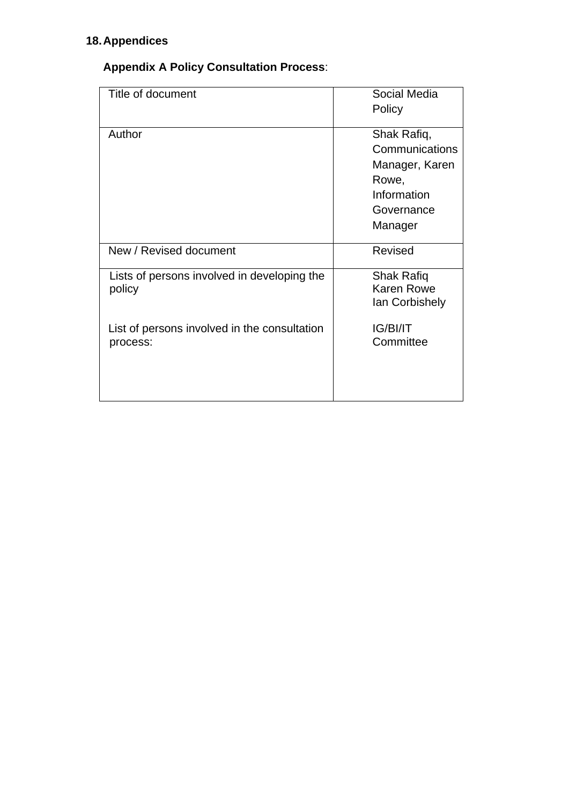# <span id="page-18-1"></span><span id="page-18-0"></span>**18.Appendices**

# **Appendix A Policy Consultation Process**:

| Title of document                                        | Social Media<br>Policy                                                                           |
|----------------------------------------------------------|--------------------------------------------------------------------------------------------------|
| Author                                                   | Shak Rafiq,<br>Communications<br>Manager, Karen<br>Rowe,<br>Information<br>Governance<br>Manager |
| New / Revised document                                   | Revised                                                                                          |
| Lists of persons involved in developing the<br>policy    | Shak Rafiq<br><b>Karen Rowe</b><br>lan Corbishely                                                |
| List of persons involved in the consultation<br>process: | IG/BI/IT<br>Committee                                                                            |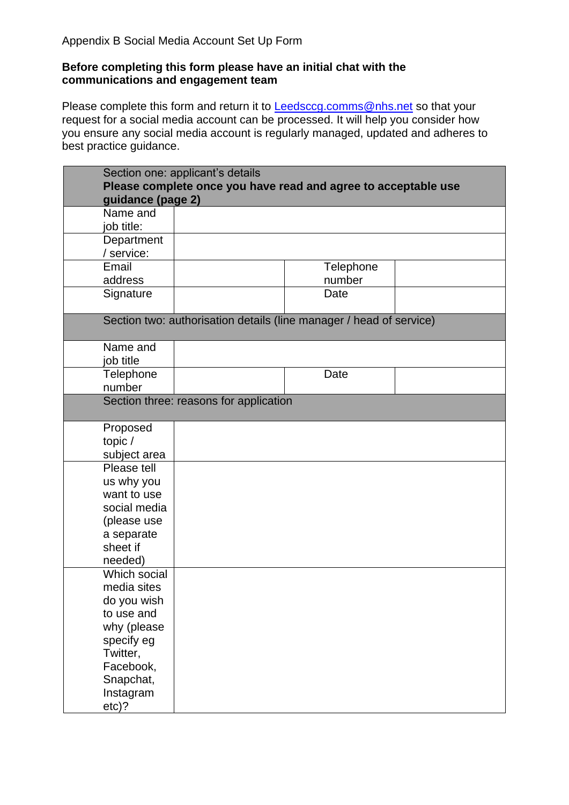#### <span id="page-19-0"></span>**Before completing this form please have an initial chat with the communications and engagement team**

Please complete this form and return it to **Leedsccg.comms@nhs.net** so that your request for a social media account can be processed. It will help you consider how you ensure any social media account is regularly managed, updated and adheres to best practice guidance.

| Section one: applicant's details                                    |                                                                |  |  |
|---------------------------------------------------------------------|----------------------------------------------------------------|--|--|
|                                                                     | Please complete once you have read and agree to acceptable use |  |  |
| guidance (page 2)                                                   |                                                                |  |  |
| Name and                                                            |                                                                |  |  |
| job title:                                                          |                                                                |  |  |
| Department                                                          |                                                                |  |  |
| / service:                                                          |                                                                |  |  |
| Email                                                               | Telephone                                                      |  |  |
| address                                                             | number                                                         |  |  |
| Signature                                                           | Date                                                           |  |  |
|                                                                     |                                                                |  |  |
| Section two: authorisation details (line manager / head of service) |                                                                |  |  |
| Name and                                                            |                                                                |  |  |
| job title                                                           |                                                                |  |  |
| Telephone                                                           | Date                                                           |  |  |
| number                                                              |                                                                |  |  |
| Section three: reasons for application                              |                                                                |  |  |
|                                                                     |                                                                |  |  |
| Proposed                                                            |                                                                |  |  |
| topic/                                                              |                                                                |  |  |
| subject area                                                        |                                                                |  |  |
| Please tell                                                         |                                                                |  |  |
| us why you                                                          |                                                                |  |  |
| want to use                                                         |                                                                |  |  |
| social media                                                        |                                                                |  |  |
| (please use                                                         |                                                                |  |  |
| a separate                                                          |                                                                |  |  |
| sheet if                                                            |                                                                |  |  |
| needed)<br>Which social                                             |                                                                |  |  |
| media sites                                                         |                                                                |  |  |
| do you wish                                                         |                                                                |  |  |
| to use and                                                          |                                                                |  |  |
| why (please                                                         |                                                                |  |  |
| specify eg                                                          |                                                                |  |  |
| Twitter,                                                            |                                                                |  |  |
| Facebook,                                                           |                                                                |  |  |
| Snapchat,                                                           |                                                                |  |  |
| Instagram                                                           |                                                                |  |  |
| $etc$ )?                                                            |                                                                |  |  |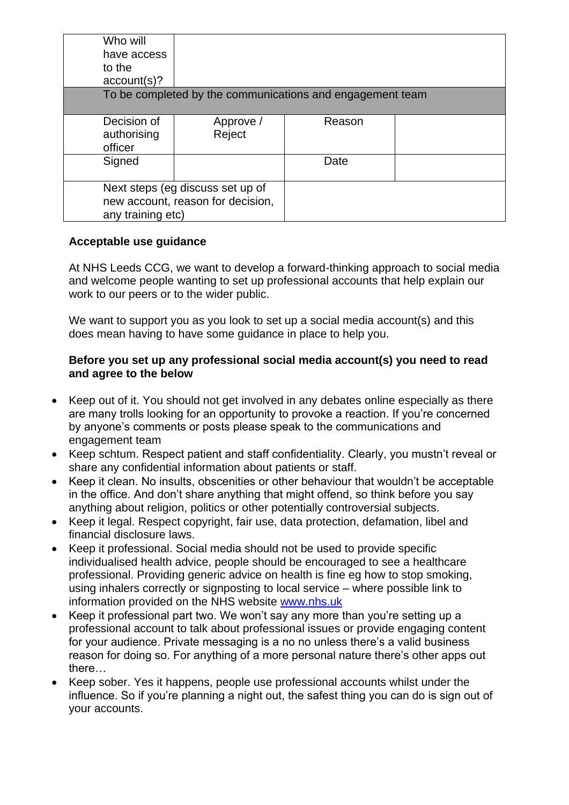| Who will<br>have access<br>to the<br>account(s)?                                           |                     |                                                           |  |
|--------------------------------------------------------------------------------------------|---------------------|-----------------------------------------------------------|--|
|                                                                                            |                     | To be completed by the communications and engagement team |  |
| Decision of<br>authorising<br>officer                                                      | Approve /<br>Reject | Reason                                                    |  |
| Signed                                                                                     |                     | Date                                                      |  |
| Next steps (eg discuss set up of<br>new account, reason for decision,<br>any training etc) |                     |                                                           |  |

#### **Acceptable use guidance**

At NHS Leeds CCG, we want to develop a forward-thinking approach to social media and welcome people wanting to set up professional accounts that help explain our work to our peers or to the wider public.

We want to support you as you look to set up a social media account(s) and this does mean having to have some guidance in place to help you.

#### **Before you set up any professional social media account(s) you need to read and agree to the below**

- Keep out of it. You should not get involved in any debates online especially as there are many trolls looking for an opportunity to provoke a reaction. If you're concerned by anyone's comments or posts please speak to the communications and engagement team
- Keep schtum. Respect patient and staff confidentiality. Clearly, you mustn't reveal or share any confidential information about patients or staff.
- Keep it clean. No insults, obscenities or other behaviour that wouldn't be acceptable in the office. And don't share anything that might offend, so think before you say anything about religion, politics or other potentially controversial subjects.
- Keep it legal. Respect copyright, fair use, data protection, defamation, libel and financial disclosure laws.
- Keep it professional. Social media should not be used to provide specific individualised health advice, people should be encouraged to see a healthcare professional. Providing generic advice on health is fine eg how to stop smoking, using inhalers correctly or signposting to local service – where possible link to information provided on the NHS website [www.nhs.uk](http://www.nhs.uk/)
- Keep it professional part two. We won't say any more than you're setting up a professional account to talk about professional issues or provide engaging content for your audience. Private messaging is a no no unless there's a valid business reason for doing so. For anything of a more personal nature there's other apps out there…
- Keep sober. Yes it happens, people use professional accounts whilst under the influence. So if you're planning a night out, the safest thing you can do is sign out of your accounts.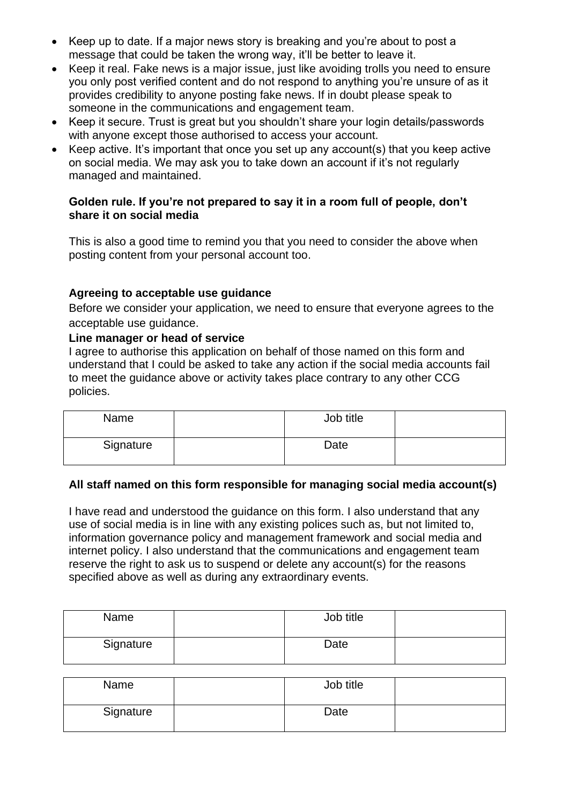- Keep up to date. If a major news story is breaking and you're about to post a message that could be taken the wrong way, it'll be better to leave it.
- Keep it real. Fake news is a major issue, just like avoiding trolls you need to ensure you only post verified content and do not respond to anything you're unsure of as it provides credibility to anyone posting fake news. If in doubt please speak to someone in the communications and engagement team.
- Keep it secure. Trust is great but you shouldn't share your login details/passwords with anyone except those authorised to access your account.
- Keep active. It's important that once you set up any account(s) that you keep active on social media. We may ask you to take down an account if it's not regularly managed and maintained.

#### **Golden rule. If you're not prepared to say it in a room full of people, don't share it on social media**

This is also a good time to remind you that you need to consider the above when posting content from your personal account too.

#### **Agreeing to acceptable use guidance**

Before we consider your application, we need to ensure that everyone agrees to the acceptable use guidance.

#### **Line manager or head of service**

I agree to authorise this application on behalf of those named on this form and understand that I could be asked to take any action if the social media accounts fail to meet the guidance above or activity takes place contrary to any other CCG policies.

| Name      | Job title |  |
|-----------|-----------|--|
| Signature | Date      |  |

#### **All staff named on this form responsible for managing social media account(s)**

I have read and understood the guidance on this form. I also understand that any use of social media is in line with any existing polices such as, but not limited to, information governance policy and management framework and social media and internet policy. I also understand that the communications and engagement team reserve the right to ask us to suspend or delete any account(s) for the reasons specified above as well as during any extraordinary events.

| Name      | Job title |  |
|-----------|-----------|--|
| Signature | Date      |  |

| Name      | Job title |  |
|-----------|-----------|--|
| Signature | Date      |  |